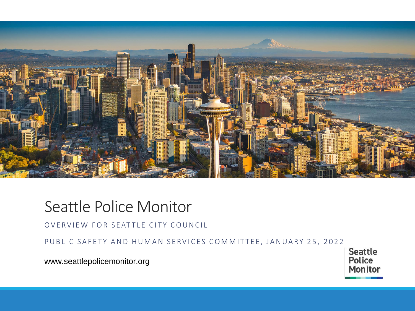

### Seattle Police Monitor

OVERVIEW FOR SEATTLE CITY COUNCIL

PUBLIC SAFETY AND HUMAN SERVICES COMMITTEE, JANUARY 25, 2022

www.seattlepolicemonitor.org

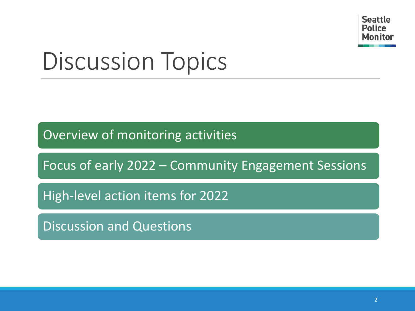

# Discussion Topics

Overview of monitoring activities

Focus of early 2022 – Community Engagement Sessions

High-level action items for 2022

Discussion and Questions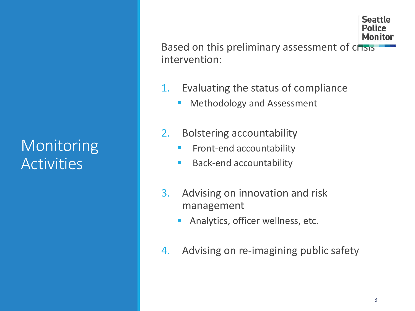## Monitoring Activities

Monitor Based on this preliminary assessment of chais intervention:

- 1. Evaluating the status of compliance
	- **■** Methodology and Assessment
- 2. Bolstering accountability
	- **EXECOULTER FRONT-** Front-end accountability
	- Back-end accountability
- 3. Advising on innovation and risk management
	- Analytics, officer wellness, etc.
- 4. Advising on re-imagining public safety

**Seattle** Police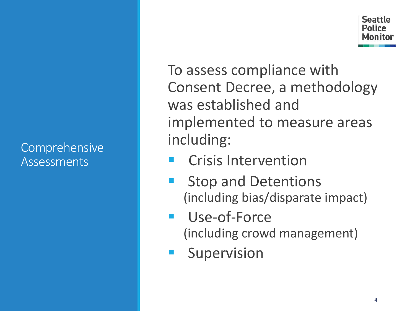#### Comprehensive Assessments

Seattle Police

To assess compliance with Consent Decree, a methodology was established and implemented to measure areas including:

- **Crisis Intervention**
- **Stop and Detentions** (including bias/disparate impact)
- Use-of-Force (including crowd management)
- Supervision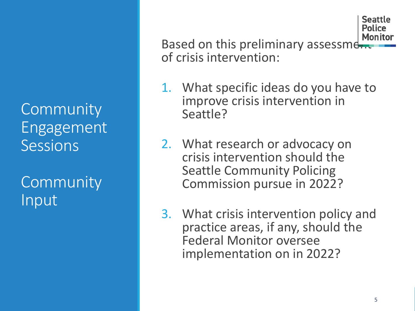**Community** Engagement Sessions

**Community** Input

Based on this preliminary assessment of crisis intervention:

- 1. What specific ideas do you have to improve crisis intervention in Seattle?
- 2. What research or advocacy on crisis intervention should the Seattle Community Policing Commission pursue in 2022?
- 3. What crisis intervention policy and practice areas, if any, should the Federal Monitor oversee implementation on in 2022?

Seattle Police